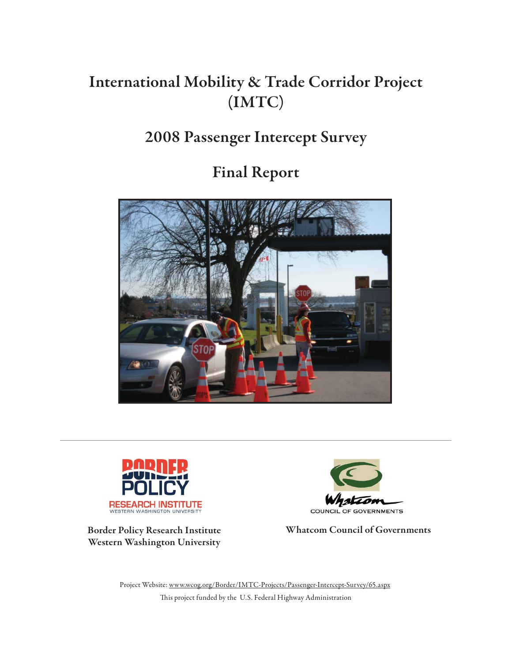# **International Mobility & Trade Corridor Project (IMTC)**

# **2008 Passenger Intercept Survey**

# **Final Report**





**Border Policy Research Institute Western Washington University**



**Whatcom Council of Governments**

This project funded by the U.S. Federal Highway Administration Project Website: www.wcog.org/Border/IMTC-Projects/Passenger-Intercept-Survey/65.aspx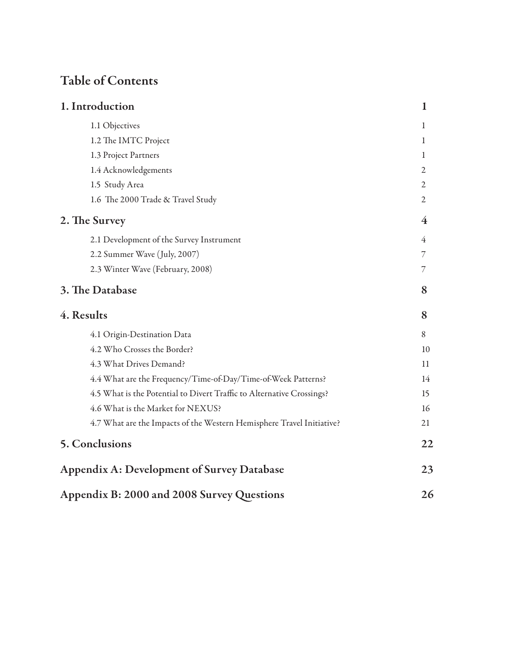# **Table of Contents**

| 1. Introduction                                                       | 1  |
|-----------------------------------------------------------------------|----|
| 1.1 Objectives                                                        | 1  |
| 1.2 The IMTC Project                                                  | 1  |
| 1.3 Project Partners                                                  | 1  |
| 1.4 Acknowledgements                                                  | 2  |
| 1.5 Study Area                                                        | 2  |
| 1.6 The 2000 Trade & Travel Study                                     | 2  |
| 2. The Survey                                                         | 4  |
| 2.1 Development of the Survey Instrument                              | 4  |
| 2.2 Summer Wave (July, 2007)                                          | 7  |
| 2.3 Winter Wave (February, 2008)                                      | 7  |
| 3. The Database                                                       | 8  |
| 4. Results                                                            | 8  |
| 4.1 Origin-Destination Data                                           | 8  |
| 4.2 Who Crosses the Border?                                           | 10 |
| 4.3 What Drives Demand?                                               | 11 |
| 4.4 What are the Frequency/Time-of-Day/Time-of-Week Patterns?         | 14 |
| 4.5 What is the Potential to Divert Traffic to Alternative Crossings? | 15 |
| 4.6 What is the Market for NEXUS?                                     | 16 |
| 4.7 What are the Impacts of the Western Hemisphere Travel Initiative? | 21 |
| 5. Conclusions                                                        | 22 |
| <b>Appendix A: Development of Survey Database</b>                     | 23 |
| Appendix B: 2000 and 2008 Survey Questions                            | 26 |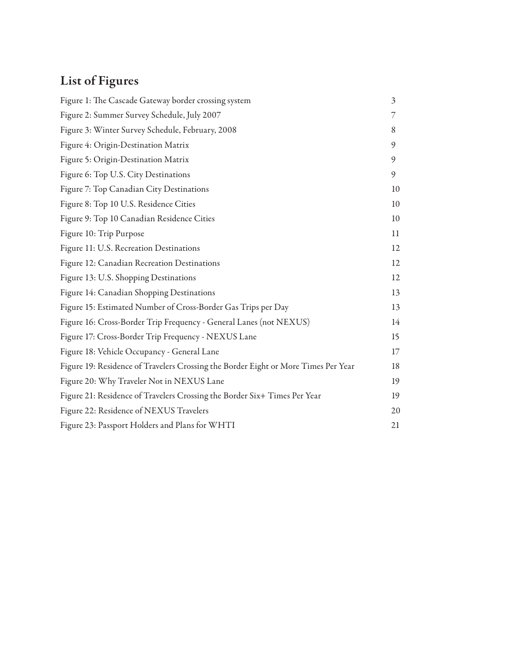# **List of Figures**

| Figure 1: The Cascade Gateway border crossing system                               | $\mathfrak{Z}$ |
|------------------------------------------------------------------------------------|----------------|
| Figure 2: Summer Survey Schedule, July 2007                                        | 7              |
| Figure 3: Winter Survey Schedule, February, 2008                                   | 8              |
| Figure 4: Origin-Destination Matrix                                                | 9              |
| Figure 5: Origin-Destination Matrix                                                | 9              |
| Figure 6: Top U.S. City Destinations                                               | 9              |
| Figure 7: Top Canadian City Destinations                                           | 10             |
| Figure 8: Top 10 U.S. Residence Cities                                             | 10             |
| Figure 9: Top 10 Canadian Residence Cities                                         | 10             |
| Figure 10: Trip Purpose                                                            | 11             |
| Figure 11: U.S. Recreation Destinations                                            | 12             |
| Figure 12: Canadian Recreation Destinations                                        | 12             |
| Figure 13: U.S. Shopping Destinations                                              | 12             |
| Figure 14: Canadian Shopping Destinations                                          | 13             |
| Figure 15: Estimated Number of Cross-Border Gas Trips per Day                      | 13             |
| Figure 16: Cross-Border Trip Frequency - General Lanes (not NEXUS)                 | 14             |
| Figure 17: Cross-Border Trip Frequency - NEXUS Lane                                | 15             |
| Figure 18: Vehicle Occupancy - General Lane                                        | 17             |
| Figure 19: Residence of Travelers Crossing the Border Eight or More Times Per Year | 18             |
| Figure 20: Why Traveler Not in NEXUS Lane                                          | 19             |
| Figure 21: Residence of Travelers Crossing the Border Six+ Times Per Year          | 19             |
| Figure 22: Residence of NEXUS Travelers                                            | 20             |
| Figure 23: Passport Holders and Plans for WHTI                                     | 21             |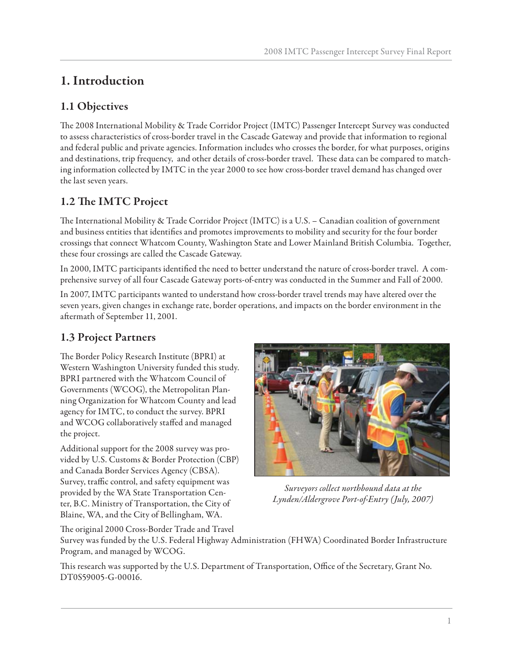# **1. Introduction**

## **1.1 Objectives**

The 2008 International Mobility & Trade Corridor Project (IMTC) Passenger Intercept Survey was conducted to assess characteristics of cross-border travel in the Cascade Gateway and provide that information to regional and federal public and private agencies. Information includes who crosses the border, for what purposes, origins and destinations, trip frequency, and other details of cross-border travel. These data can be compared to matching information collected by IMTC in the year 2000 to see how cross-border travel demand has changed over the last seven years.

## 1.2 The **IMTC** Project

The International Mobility & Trade Corridor Project (IMTC) is a U.S. – Canadian coalition of government and business entities that identifies and promotes improvements to mobility and security for the four border crossings that connect Whatcom County, Washington State and Lower Mainland British Columbia. Together, these four crossings are called the Cascade Gateway.

In 2000, IMTC participants identified the need to better understand the nature of cross-border travel. A comprehensive survey of all four Cascade Gateway ports-of-entry was conducted in the Summer and Fall of 2000.

In 2007, IMTC participants wanted to understand how cross-border travel trends may have altered over the seven years, given changes in exchange rate, border operations, and impacts on the border environment in the aftermath of September 11, 2001.

## **1.3 Project Partners**

The Border Policy Research Institute (BPRI) at Western Washington University funded this study. BPRI partnered with the Whatcom Council of Governments (WCOG), the Metropolitan Planning Organization for Whatcom County and lead agency for IMTC, to conduct the survey. BPRI and WCOG collaboratively staffed and managed the project.

Additional support for the 2008 survey was provided by U.S. Customs & Border Protection (CBP) and Canada Border Services Agency (CBSA). Survey, traffic control, and safety equipment was provided by the WA State Transportation Center, B.C. Ministry of Transportation, the City of Blaine, WA, and the City of Bellingham, WA.



*Surveyors collect northbound data at the Lynden/Aldergrove Port-of-Entry (July, 2007)*

The original 2000 Cross-Border Trade and Travel

Survey was funded by the U.S. Federal Highway Administration (FHWA) Coordinated Border Infrastructure Program, and managed by WCOG.

This research was supported by the U.S. Department of Transportation, Office of the Secretary, Grant No. DT0S59005-G-00016.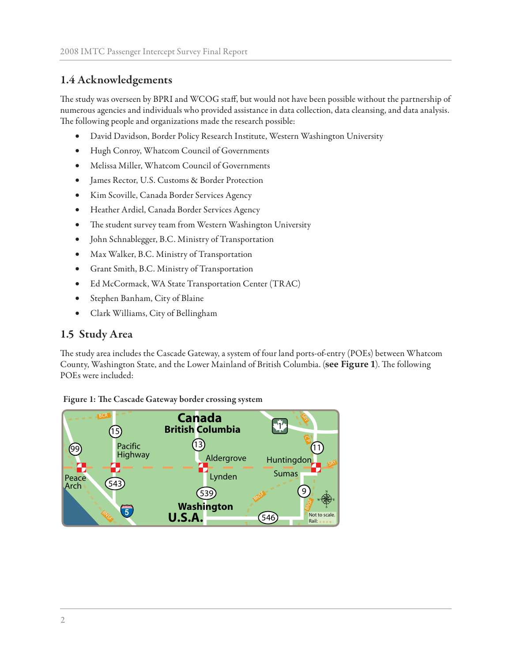## **1.4 Acknowledgements**

The study was overseen by BPRI and WCOG staff, but would not have been possible without the partnership of numerous agencies and individuals who provided assistance in data collection, data cleansing, and data analysis. The following people and organizations made the research possible:

- David Davidson, Border Policy Research Institute, Western Washington University
- Hugh Conroy, Whatcom Council of Governments
- Melissa Miller, Whatcom Council of Governments
- James Rector, U.S. Customs & Border Protection
- Kim Scoville, Canada Border Services Agency
- Heather Ardiel, Canada Border Services Agency
- The student survey team from Western Washington University
- John Schnablegger, B.C. Ministry of Transportation
- Max Walker, B.C. Ministry of Transportation
- Grant Smith, B.C. Ministry of Transportation
- Ed McCormack, WA State Transportation Center (TRAC)
- Stephen Banham, City of Blaine
- Clark Williams, City of Bellingham

## **1.5 Study Area**

The study area includes the Cascade Gateway, a system of four land ports-of-entry (POEs) between Whatcom County, Washington State, and the Lower Mainland of British Columbia. (see Figure 1). The following POEs were included:



Figure 1: The Cascade Gateway border crossing system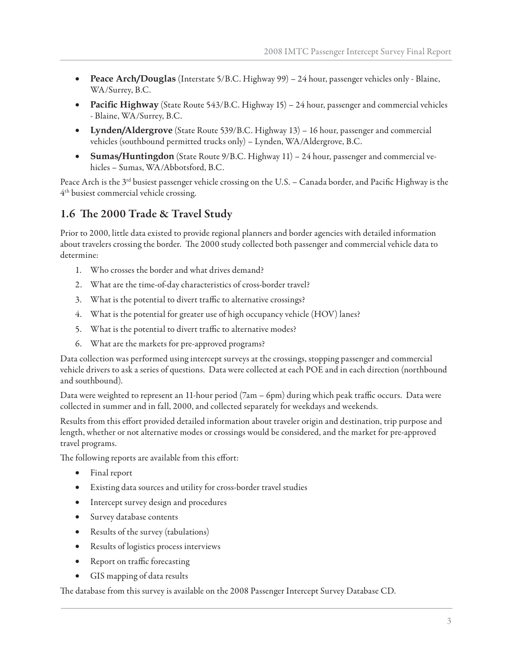- **Peace Arch/Douglas** (Interstate 5/B.C. Highway 99) 24 hour, passenger vehicles only Blaine, WA/Surrey, B.C.
- **Pacific Highway** (State Route 543/B.C. Highway 15) 24 hour, passenger and commercial vehicles - Blaine, WA/Surrey, B.C.
- **Lynden/Aldergrove** (State Route 539/B.C. Highway 13) 16 hour, passenger and commercial vehicles (southbound permitted trucks only) – Lynden, WA/Aldergrove, B.C.
- **Sumas/Huntingdon** (State Route 9/B.C. Highway 11) 24 hour, passenger and commercial vehicles – Sumas, WA/Abbotsford, B.C.

Peace Arch is the  $3<sup>rd</sup>$  busiest passenger vehicle crossing on the U.S. – Canada border, and Pacific Highway is the 4th busiest commercial vehicle crossing.

## 1.6 The 2000 Trade & Travel Study

Prior to 2000, little data existed to provide regional planners and border agencies with detailed information about travelers crossing the border. The 2000 study collected both passenger and commercial vehicle data to determine:

- 1. Who crosses the border and what drives demand?
- 2. What are the time-of-day characteristics of cross-border travel?
- 3. What is the potential to divert traffic to alternative crossings?
- 4. What is the potential for greater use of high occupancy vehicle (HOV) lanes?
- 5. What is the potential to divert traffic to alternative modes?
- 6. What are the markets for pre-approved programs?

Data collection was performed using intercept surveys at the crossings, stopping passenger and commercial vehicle drivers to ask a series of questions. Data were collected at each POE and in each direction (northbound and southbound).

Data were weighted to represent an 11-hour period (7am – 6pm) during which peak traffic occurs. Data were collected in summer and in fall, 2000, and collected separately for weekdays and weekends.

Results from this effort provided detailed information about traveler origin and destination, trip purpose and length, whether or not alternative modes or crossings would be considered, and the market for pre-approved travel programs.

The following reports are available from this effort:

- Final report
- Existing data sources and utility for cross-border travel studies
- Intercept survey design and procedures
- Survey database contents
- Results of the survey (tabulations)
- Results of logistics process interviews
- Report on traffic forecasting
- GIS mapping of data results

The database from this survey is available on the 2008 Passenger Intercept Survey Database CD.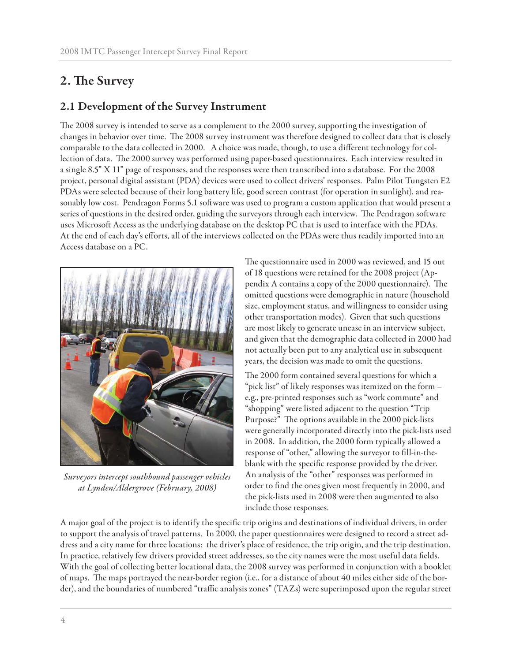## 2. The Survey

## **2.1 Development of the Survey Instrument**

The 2008 survey is intended to serve as a complement to the 2000 survey, supporting the investigation of changes in behavior over time. The 2008 survey instrument was therefore designed to collect data that is closely comparable to the data collected in 2000. A choice was made, though, to use a different technology for collection of data. The 2000 survey was performed using paper-based questionnaires. Each interview resulted in a single 8.5" X 11" page of responses, and the responses were then transcribed into a database. For the 2008 project, personal digital assistant (PDA) devices were used to collect drivers' responses. Palm Pilot Tungsten E2 PDAs were selected because of their long battery life, good screen contrast (for operation in sunlight), and reasonably low cost. Pendragon Forms 5.1 software was used to program a custom application that would present a series of questions in the desired order, guiding the surveyors through each interview. The Pendragon software uses Microsoft Access as the underlying database on the desktop PC that is used to interface with the PDAs. At the end of each day's efforts, all of the interviews collected on the PDAs were thus readily imported into an Access database on a PC.



*Surveyors intercept southbound passenger vehicles at Lynden/Aldergrove (February, 2008)*

The questionnaire used in 2000 was reviewed, and 15 out of 18 questions were retained for the 2008 project (Appendix A contains a copy of the 2000 questionnaire). The omitted questions were demographic in nature (household size, employment status, and willingness to consider using other transportation modes). Given that such questions are most likely to generate unease in an interview subject, and given that the demographic data collected in 2000 had not actually been put to any analytical use in subsequent years, the decision was made to omit the questions.

The 2000 form contained several questions for which a "pick list" of likely responses was itemized on the form – e.g., pre-printed responses such as "work commute" and "shopping" were listed adjacent to the question "Trip Purpose?" The options available in the 2000 pick-lists were generally incorporated directly into the pick-lists used in 2008. In addition, the 2000 form typically allowed a response of "other," allowing the surveyor to fill-in-theblank with the specific response provided by the driver. An analysis of the "other" responses was performed in order to find the ones given most frequently in 2000, and the pick-lists used in 2008 were then augmented to also include those responses.

A major goal of the project is to identify the specific trip origins and destinations of individual drivers, in order to support the analysis of travel patterns. In 2000, the paper questionnaires were designed to record a street address and a city name for three locations: the driver's place of residence, the trip origin, and the trip destination. In practice, relatively few drivers provided street addresses, so the city names were the most useful data fields. With the goal of collecting better locational data, the 2008 survey was performed in conjunction with a booklet of maps. The maps portrayed the near-border region (i.e., for a distance of about 40 miles either side of the border), and the boundaries of numbered "traffic analysis zones" (TAZs) were superimposed upon the regular street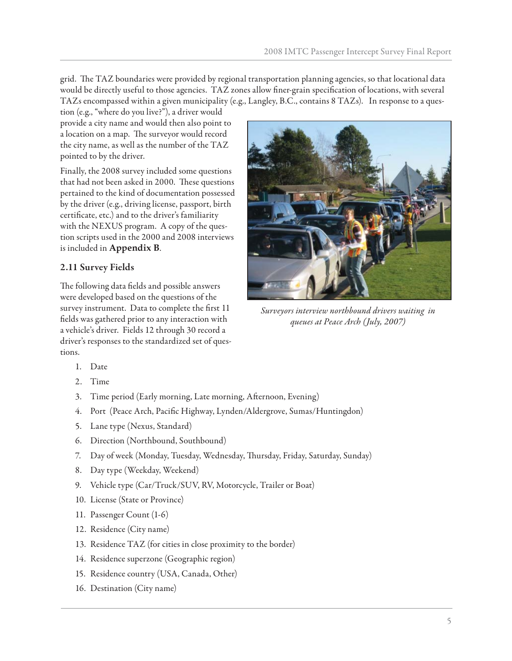grid. The TAZ boundaries were provided by regional transportation planning agencies, so that locational data would be directly useful to those agencies. TAZ zones allow finer-grain specification of locations, with several TAZs encompassed within a given municipality (e.g., Langley, B.C., contains 8 TAZs). In response to a ques-

tion (e.g., "where do you live?"), a driver would provide a city name and would then also point to a location on a map. The surveyor would record the city name, as well as the number of the TAZ pointed to by the driver.

Finally, the 2008 survey included some questions that had not been asked in 2000. These questions pertained to the kind of documentation possessed by the driver (e.g., driving license, passport, birth certificate, etc.) and to the driver's familiarity with the NEXUS program. A copy of the question scripts used in the 2000 and 2008 interviews is included in **Appendix B**.

## **2.11 Survey Fields**

The following data fields and possible answers were developed based on the questions of the survey instrument. Data to complete the first 11 fields was gathered prior to any interaction with a vehicle's driver. Fields 12 through 30 record a driver's responses to the standardized set of questions.



*Surveyors interview northbound drivers waiting in queues at Peace Arch (July, 2007)*

- 1. Date
- 2. Time
- 3. Time period (Early morning, Late morning, Afternoon, Evening)
- 4. Port (Peace Arch, Pacific Highway, Lynden/Aldergrove, Sumas/Huntingdon)
- 5. Lane type (Nexus, Standard)
- 6. Direction (Northbound, Southbound)
- 7. Day of week (Monday, Tuesday, Wednesday, Thursday, Friday, Saturday, Sunday)
- 8. Day type (Weekday, Weekend)
- 9. Vehicle type (Car/Truck/SUV, RV, Motorcycle, Trailer or Boat)
- 10. License (State or Province)
- 11. Passenger Count (1-6)
- 12. Residence (City name)
- 13. Residence TAZ (for cities in close proximity to the border)
- 14. Residence superzone (Geographic region)
- 15. Residence country (USA, Canada, Other)
- 16. Destination (City name)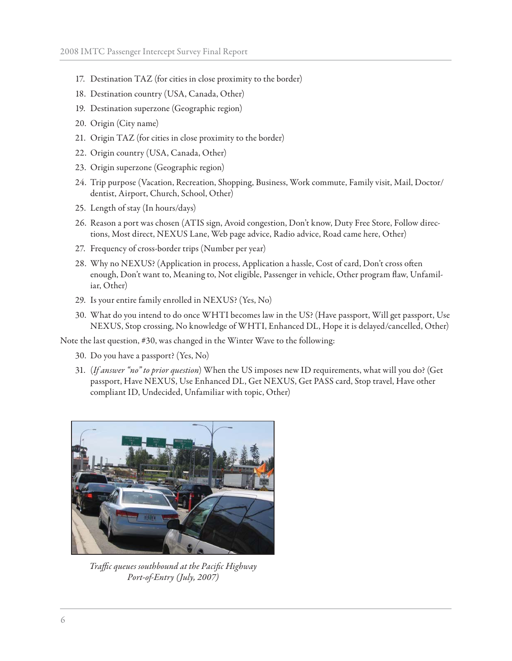- 17. Destination TAZ (for cities in close proximity to the border)
- 18. Destination country (USA, Canada, Other)
- 19. Destination superzone (Geographic region)
- 20. Origin (City name)
- 21. Origin TAZ (for cities in close proximity to the border)
- 22. Origin country (USA, Canada, Other)
- 23. Origin superzone (Geographic region)
- 24. Trip purpose (Vacation, Recreation, Shopping, Business, Work commute, Family visit, Mail, Doctor/ dentist, Airport, Church, School, Other)
- 25. Length of stay (In hours/days)
- 26. Reason a port was chosen (ATIS sign, Avoid congestion, Don't know, Duty Free Store, Follow directions, Most direct, NEXUS Lane, Web page advice, Radio advice, Road came here, Other)
- 27. Frequency of cross-border trips (Number per year)
- 28. Why no NEXUS? (Application in process, Application a hassle, Cost of card, Don't cross often enough, Don't want to, Meaning to, Not eligible, Passenger in vehicle, Other program flaw, Unfamiliar, Other)
- 29. Is your entire family enrolled in NEXUS? (Yes, No)
- 30. What do you intend to do once WHTI becomes law in the US? (Have passport, Will get passport, Use NEXUS, Stop crossing, No knowledge of WHTI, Enhanced DL, Hope it is delayed/cancelled, Other)

Note the last question, #30, was changed in the Winter Wave to the following:

- 30. Do you have a passport? (Yes, No)
- 31. (*If answer "no" to prior question*) When the US imposes new ID requirements, what will you do? (Get passport, Have NEXUS, Use Enhanced DL, Get NEXUS, Get PASS card, Stop travel, Have other compliant ID, Undecided, Unfamiliar with topic, Other)



*Traffic queues southbound at the Pacific Highway Port-of-Entry (July, 2007)*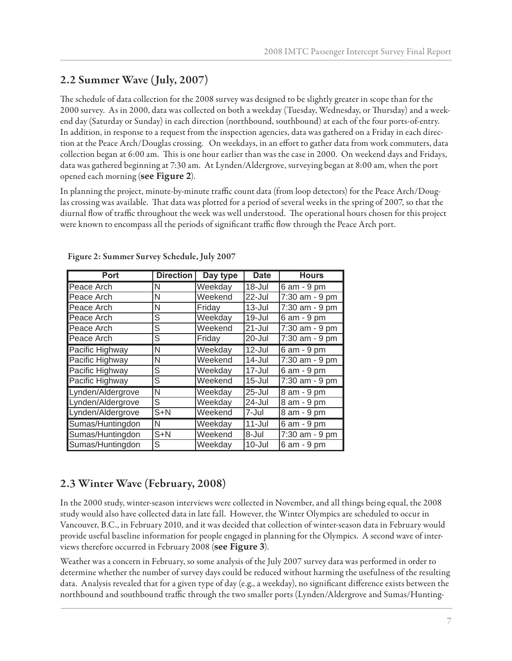## **2.2 Summer Wave (July, 2007)**

The schedule of data collection for the 2008 survey was designed to be slightly greater in scope than for the 2000 survey. As in 2000, data was collected on both a weekday (Tuesday, Wednesday, or Thursday) and a weekend day (Saturday or Sunday) in each direction (northbound, southbound) at each of the four ports-of-entry. In addition, in response to a request from the inspection agencies, data was gathered on a Friday in each direction at the Peace Arch/Douglas crossing. On weekdays, in an effort to gather data from work commuters, data collection began at 6:00 am. This is one hour earlier than was the case in 2000. On weekend days and Fridays, data was gathered beginning at 7:30 am. At Lynden/Aldergrove, surveying began at 8:00 am, when the port opened each morning (**see Figure 2**).

In planning the project, minute-by-minute traffic count data (from loop detectors) for the Peace Arch/Douglas crossing was available. That data was plotted for a period of several weeks in the spring of 2007, so that the diurnal flow of traffic throughout the week was well understood. The operational hours chosen for this project were known to encompass all the periods of significant traffic flow through the Peace Arch port.

| <b>Port</b>       | <b>Direction</b> | Day type | <b>Date</b> | <b>Hours</b>    |
|-------------------|------------------|----------|-------------|-----------------|
| Peace Arch        | N                | Weekday  | 18-Jul      | $6$ am - $9$ pm |
| Peace Arch        | N                | Weekend  | 22-Jul      | 7:30 am - 9 pm  |
| Peace Arch        | N                | Fridav   | $13 -$ Jul  | 7:30 am - 9 pm  |
| Peace Arch        | S                | Weekday  | 19-Jul      | 6 am - 9 pm     |
| Peace Arch        | S                | Weekend  | $21 -$ Jul  | 7:30 am - 9 pm  |
| Peace Arch        | S                | Friday   | 20-Jul      | 7:30 am - 9 pm  |
| Pacific Highway   | N                | Weekday  | $12$ -Jul   | 6 am - 9 pm     |
| Pacific Highway   | N                | Weekend  | 14-Jul      | 7:30 am - 9 pm  |
| Pacific Highway   | S                | Weekday  | 17-Jul      | 6 am - 9 pm     |
| Pacific Highway   | S                | Weekend  | $15 -$ Jul  | 7:30 am - 9 pm  |
| Lynden/Aldergrove | N                | Weekday  | 25-Jul      | 8 am - 9 pm     |
| Lynden/Aldergrove | S                | Weekday  | 24-Jul      | 8 am - 9 pm     |
| Lynden/Aldergrove | $S+N$            | Weekend  | 7-Jul       | 8 am - 9 pm     |
| Sumas/Huntingdon  | N                | Weekday  | $11$ -Jul   | 6 am - 9 pm     |
| Sumas/Huntingdon  | $S+N$            | Weekend  | 8-Jul       | 7:30 am - 9 pm  |
| Sumas/Huntingdon  | S                | Weekday  | $10 -$ Jul  | 6 am - 9 pm     |

**Figure 2: Summer Survey Schedule, July 2007**

## **2.3 Winter Wave (February, 2008)**

In the 2000 study, winter-season interviews were collected in November, and all things being equal, the 2008 study would also have collected data in late fall. However, the Winter Olympics are scheduled to occur in Vancouver, B.C., in February 2010, and it was decided that collection of winter-season data in February would provide useful baseline information for people engaged in planning for the Olympics. A second wave of interviews therefore occurred in February 2008 (**see Figure 3**).

Weather was a concern in February, so some analysis of the July 2007 survey data was performed in order to determine whether the number of survey days could be reduced without harming the usefulness of the resulting data. Analysis revealed that for a given type of day (e.g., a weekday), no significant difference exists between the northbound and southbound traffic through the two smaller ports (Lynden/Aldergrove and Sumas/Hunting-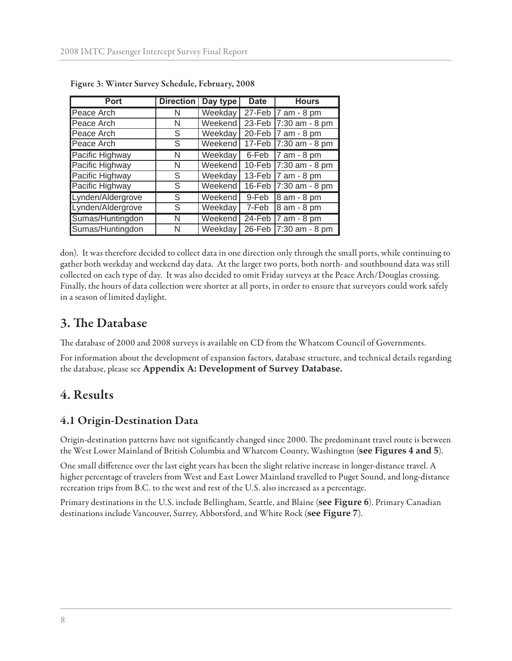| <b>Port</b>       | <b>Direction</b> | Day type | <b>Date</b> | <b>Hours</b>          |
|-------------------|------------------|----------|-------------|-----------------------|
| Peace Arch        | N                | Weekday  | 27-Feb      | 7 am - 8 pm           |
| Peace Arch        | N                | Weekend  | 23-Feb      | 7:30 am - 8 pm        |
| Peace Arch        | S                | Weekday  | 20-Feb      | 7 am - 8 pm           |
| Peace Arch        | S                | Weekend  | 17-Feb      | 7:30 am - 8 pm        |
| Pacific Highway   | N                | Weekday  | 6-Feb       | 7 am - 8 pm           |
| Pacific Highway   | N                | Weekend  | 10-Feb      | 7:30 am - 8 pm        |
| Pacific Highway   | S                | Weekday  | 13-Feb      | 7 am - 8 pm           |
| Pacific Highway   | S                | Weekend  | 16-Feb      | 7:30 am - 8 pm        |
| Lynden/Aldergrove | S                | Weekend  | 9-Feb       | 8 am - 8 pm           |
| Lynden/Aldergrove | S                | Weekday  | 7-Feb       | 8 am - 8 pm           |
| Sumas/Huntingdon  | N                | Weekend  | 24-Feb      | $7$ am - 8 pm         |
| Sumas/Huntingdon  | N                | Weekday  |             | 26-Feb 7:30 am - 8 pm |

**Figure 3: Winter Survey Schedule, February, 2008**

don). It was therefore decided to collect data in one direction only through the small ports, while continuing to gather both weekday and weekend day data. At the larger two ports, both north- and southbound data was still collected on each type of day. It was also decided to omit Friday surveys at the Peace Arch/Douglas crossing. Finally, the hours of data collection were shorter at all ports, in order to ensure that surveyors could work safely in a season of limited daylight.

## **3. The Database**

The database of 2000 and 2008 surveys is available on CD from the Whatcom Council of Governments.

For information about the development of expansion factors, database structure, and technical details regarding the database, please see **Appendix A: Development of Survey Database.**

## **4. Results**

## **4.1 Origin-Destination Data**

Origin-destination patterns have not significantly changed since 2000. The predominant travel route is between the West Lower Mainland of British Columbia and Whatcom County, Washington (**see Figures 4 and 5**).

One small difference over the last eight years has been the slight relative increase in longer-distance travel. A higher percentage of travelers from West and East Lower Mainland travelled to Puget Sound, and long-distance recreation trips from B.C. to the west and rest of the U.S. also increased as a percentage.

Primary destinations in the U.S. include Bellingham, Seattle, and Blaine (**see Figure 6**). Primary Canadian destinations include Vancouver, Surrey, Abbotsford, and White Rock (**see Figure 7**).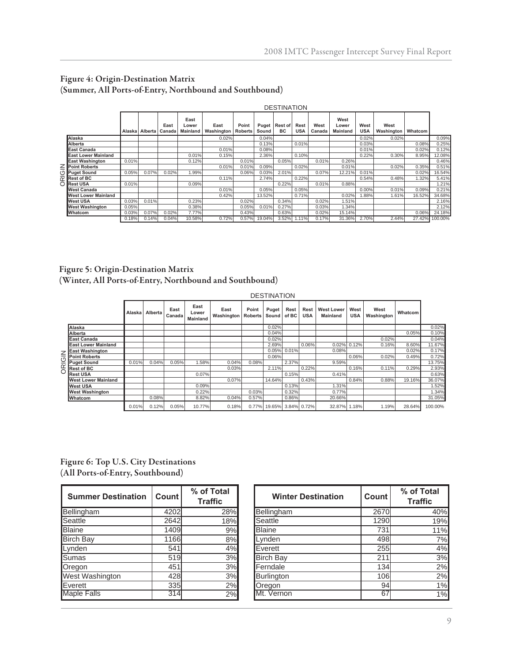#### **Figure 4: Origin-Destination Matrix (Summer, All Ports-of-Entry, Northbound and Southbound)**

|                                | <b>DESTINATION</b> |                  |                |                                  |                    |                         |                |                             |                    |                |                                  |                    |                    |         |         |
|--------------------------------|--------------------|------------------|----------------|----------------------------------|--------------------|-------------------------|----------------|-----------------------------|--------------------|----------------|----------------------------------|--------------------|--------------------|---------|---------|
|                                |                    | Alaska   Alberta | East<br>Canada | East<br>Lower<br><b>Mainland</b> | East<br>Washington | Point<br><b>Roberts</b> | Puget<br>Sound | <b>Rest of</b><br><b>BC</b> | Rest<br><b>USA</b> | West<br>Canada | West<br>Lower<br><b>Mainland</b> | West<br><b>USA</b> | West<br>Washington | Whatcom |         |
| Alaska                         |                    |                  |                |                                  | 0.02%              |                         | 0.04%          |                             |                    |                |                                  | 0.02%              | 0.02%              |         | 0.09%   |
| Alberta                        |                    |                  |                |                                  |                    |                         | 0.13%          |                             | 0.01%              |                |                                  | 0.03%              |                    | 0.08%   | 0.25%   |
| <b>East Canada</b>             |                    |                  |                |                                  | 0.01%              |                         | 0.08%          |                             |                    |                |                                  | 0.01%              |                    | 0.02%   | 0.12%   |
| <b>East Lower Mainland</b>     |                    |                  |                | 0.01%                            | 0.15%              |                         | 2.36%          |                             | 0.10%              |                |                                  | 0.22%              | 0.30%              | 8.95%   | 12.08%  |
| <b>East Washington</b>         | 0.01%              |                  |                | 0.12%                            |                    | 0.01%                   |                | 0.05%                       |                    | 0.01%          | 0.26%                            |                    |                    |         | 0.46%   |
| $Z$ Point Roberts              |                    |                  |                |                                  | 0.01%              | 0.01%                   | 0.09%          |                             | 0.02%              |                | 0.01%                            |                    | 0.02%              | 0.35%   | 0.51%   |
| D Puget Sound                  | 0.05%              | 0.07%            | 0.02%          | .99%                             |                    | 0.06%                   | 0.03%          | 2.01%                       |                    | 0.07%          | 12.21%                           | 0.01%              |                    | 0.02%   | 16.54%  |
| $\overline{\alpha}$ Rest of BC |                    |                  |                |                                  | 0.11%              |                         | 2.74%          |                             | 0.22%              |                |                                  | 0.54%              | 0.48%              | .32%    | 5.41%   |
| O Rest USA                     | 0.01%              |                  |                | 0.09%                            |                    |                         |                | 0.22%                       |                    | 0.01%          | 0.88%                            |                    |                    |         | .21%    |
| West Canada                    |                    |                  |                |                                  | 0.01%              |                         | 0.05%          |                             | 0.05%              |                |                                  | 0.00%              | 0.01%              | 0.09%   | 0.21%   |
| West Lower Mainland            |                    |                  |                |                                  | 0.42%              |                         | 13.52%         |                             | 0.71%              |                | 0.02%                            | .88%               | 1.61%              | 16.52%  | 34.68%  |
| <b>West USA</b>                | 0.03%              | 0.01%            |                | 0.23%                            |                    | 0.02%                   |                | 0.34%                       |                    | 0.02%          | 1.51%                            |                    |                    |         | 2.16%   |
| <b>West Washington</b>         | 0.05%              |                  |                | 0.38%                            |                    | 0.05%                   | 0.01%          | 0.27%                       |                    | 0.03%          | 1.34%                            |                    |                    |         | 2.12%   |
| <b>Whatcom</b>                 | 0.03%              | 0.07%            | 0.02%          | 7.77%                            |                    | 0.43%                   |                | 0.63%                       |                    | 0.02%          | 15.14%                           |                    |                    | 0.06%   | 24.18%  |
|                                | 0.18%              | 0.14%            | 0.04%          | 10.58%                           | 0.72%              | 0.57%                   | 19.04%         | 3.52%                       | 1.11%              | 0.17%          | 31.36%                           | 2.70%              | 2.44%              | 27.42%  | 100.00% |

#### **Figure 5: Origin-Destination Matrix (Winter, All Ports-of-Entry, Northbound and Southbound)**

|        |                            |          |         |                |                           |                                     |       | <b>DESTINATION</b> |               |                    |                               |                    |                    |         |         |
|--------|----------------------------|----------|---------|----------------|---------------------------|-------------------------------------|-------|--------------------|---------------|--------------------|-------------------------------|--------------------|--------------------|---------|---------|
|        |                            | Alaska I | Alberta | East<br>Canada | East<br>Lower<br>Mainland | East<br><b>Washington   Roberts</b> | Point | Puget<br>Sound     | Rest<br>of BC | Rest<br><b>USA</b> | <b>West Lower</b><br>Mainland | West<br><b>USA</b> | West<br>Washington | Whatcom |         |
|        | Alaska                     |          |         |                |                           |                                     |       | 0.02%              |               |                    |                               |                    |                    |         | 0.02%   |
|        | Alberta                    |          |         |                |                           |                                     |       | 0.04%              |               |                    |                               |                    |                    | 0.05%   | 0.10%   |
|        | East Canada                |          |         |                |                           |                                     |       | 0.02%              |               |                    |                               |                    | 0.02%              |         | 0.04%   |
|        | <b>East Lower Mainland</b> |          |         |                |                           |                                     |       | 2.69%              |               | 0.06%              |                               | 0.02% 0.12%        | 0.16%              | 8.60%   | 11.67%  |
|        | <b>East Washington</b>     |          |         |                |                           |                                     |       | 0.05%              | 0.01%         |                    | 0.08%                         |                    |                    | 0.02%   | 0.17%   |
|        | <b>Point Roberts</b>       |          |         |                |                           |                                     |       | 0.06%              |               |                    |                               | 0.06%              | 0.02%              | 0.49%   | 0.72%   |
|        | <b>Puget Sound</b>         | 0.01%    | 0.04%   | 0.05%          | .58%                      | 0.04%                               | 0.08% |                    | 2.37%         |                    | 9.59%                         |                    |                    |         | 13.75%  |
| ORIGIN | <b>Rest of BC</b>          |          |         |                |                           | 0.03%                               |       | 2.11%              |               | 0.22%              |                               | 0.16%              | 0.11%              | 0.29%   | 2.93%   |
|        | <b>Rest USA</b>            |          |         |                | 0.07%                     |                                     |       |                    | 0.15%         |                    | 0.41%                         |                    |                    |         | 0.63%   |
|        | West Lower Mainland        |          |         |                |                           | 0.07%                               |       | 14.64%             |               | 0.43%              |                               | 0.84%              | 0.88%              | 19.16%  | 36.07%  |
|        | West USA                   |          |         |                | 0.09%                     |                                     |       |                    | 0.13%         |                    | 1.31%                         |                    |                    |         | 1.52%   |
|        | West Washington            |          |         |                | 0.22%                     |                                     | 0.03% |                    | 0.32%         |                    | 0.77%                         |                    |                    |         | 1.34%   |
|        | Whatcom                    |          | 0.08%   |                | 8.82%                     | 0.04%                               | 0.57% |                    | 0.86%         |                    | 20.66%                        |                    |                    |         | 31.05%  |
|        |                            | 0.01%    | 0.12%   | 0.05%          | 10.77%                    | 0.18%                               | 0.77% | 19.65%             |               | 3.84% 0.72%        | 32.87%                        | 1.18%              | 1.19%              | 28.64%  | 100.00% |

**Figure 6: Top U.S. City Destinations (All Ports-of-Entry, Southbound)**

| <b>Summer Destination</b> | Count | % of Total<br><b>Traffic</b> |
|---------------------------|-------|------------------------------|
| Bellingham                | 4202  | 28%                          |
| Seattle                   | 2642  | 18%                          |
| Blaine                    | 1409  | 9%                           |
| <b>Birch Bay</b>          | 1166  | 8%                           |
| Lynden                    | 541   | 4%                           |
| Sumas                     | 519   | 3%                           |
| Oregon                    | 451   | 3%                           |
| <b>West Washington</b>    | 428   | 3%                           |
| Everett                   | 335   | 2%                           |
| <b>Maple Falls</b>        | 314   | 2%                           |

| <b>Summer Destination</b> | Count | % of Total<br><b>Traffic</b> | <b>Winter Destination</b> | Count      | % of Total<br><b>Traffic</b> |
|---------------------------|-------|------------------------------|---------------------------|------------|------------------------------|
| <b>Bellingham</b>         | 4202  | 28%                          | Bellingham                | 2670       | 40%                          |
| Seattle                   | 2642  | 18%                          | Seattle                   | 1290       | 19%                          |
| Blaine                    | 1409  | 9%                           | <b>Blaine</b>             | 731        | 11%                          |
| <b>Birch Bay</b>          | 1166  | 8%                           | Lynden                    | 498        | 7%                           |
| Lynden                    | 541   | 4%                           | Everett                   | 255        | 4%                           |
| <b>Sumas</b>              | 519   | 3%                           | <b>Birch Bay</b>          | 211        | 3%                           |
| Oregon                    | 451   | 3%                           | Ferndale                  | 134        | 2%                           |
| West Washington           | 428   | 3%                           | Burlington                | <b>106</b> | 2%                           |
| Everett                   | 335   | 2%                           | Oregon                    | 94         | 1%                           |
| <b>Maple Falls</b>        | 314   | 2%                           | Mt. Vernon                | 67         | 1%                           |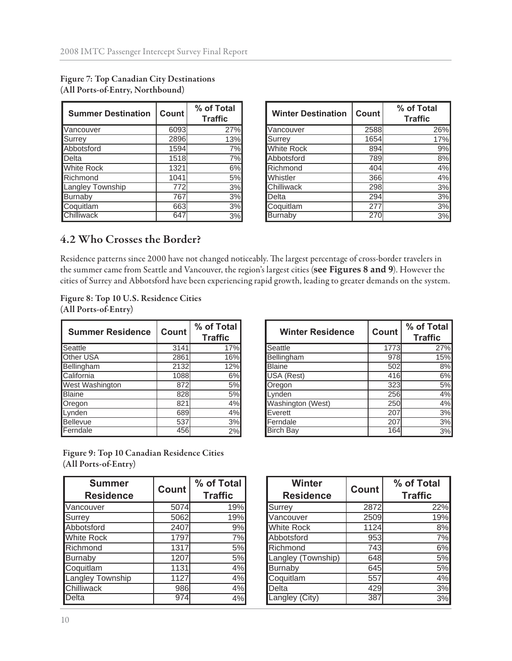| <b>Summer Destination</b> | Count | % of Total<br><b>Traffic</b> |
|---------------------------|-------|------------------------------|
| Vancouver                 | 6093  | 27%                          |
| Surrey                    | 2896  | 13%                          |
| Abbotsford                | 1594  | 7%                           |
| Delta                     | 1518  | 7%                           |
| White Rock                | 1321  | 6%                           |
| Richmond                  | 1041  | 5%                           |
| Langley Township          | 772   | 3%                           |
| Burnaby                   | 767   | 3%                           |
| Coquitlam                 | 663   | 3%                           |
| Chilliwack                | 64    | 3%                           |

| <b>Figure 7: Top Canadian City Destinations</b> |
|-------------------------------------------------|
| (All Ports-of-Entry, Northbound)                |

| <b>Summer Destination</b> | <b>Count</b> | % of Total<br>Traffic | <b>Winter Destination</b> | Count | % of Total<br><b>Traffic</b> |
|---------------------------|--------------|-----------------------|---------------------------|-------|------------------------------|
| Vancouver                 | 6093         | 27%                   | Vancouver                 | 2588  | 26%                          |
| Surrey                    | 2896         | 13%                   | Surrey                    | 1654  | 17%                          |
| Abbotsford                | 1594         | 7%                    | <b>White Rock</b>         | 894   | 9%                           |
| Delta                     | 1518         | 7%l                   | Abbotsford                | 789   | 8%                           |
| <b>White Rock</b>         | 1321         | 6%                    | Richmond                  | 404   | 4%                           |
| Richmond                  | 1041         | 5%                    | <b>Whistler</b>           | 366   | 4%                           |
| Langley Township          | 7721         | 3%                    | Chilliwack                | 298   | 3%                           |
| <b>Burnaby</b>            | 767          | 3%                    | <b>Delta</b>              | 294   | 3%                           |
| Coquitlam                 | 663          | 3%                    | Coquitlam                 | 277   | 3%                           |
| <b>Chilliwack</b>         | 647          | 3%                    | Burnaby                   | 270   | 3%                           |

## **4.2 Who Crosses the Border?**

Residence patterns since 2000 have not changed noticeably. The largest percentage of cross-border travelers in the summer came from Seattle and Vancouver, the region's largest cities (see Figures 8 and 9). However the cities of Surrey and Abbotsford have been experiencing rapid growth, leading to greater demands on the system.

**Figure 8: Top 10 U.S. Residence Cities (All Ports-of-Entry)**

| <b>Summer Residence</b> | <b>Count</b> | % of Total<br><b>Traffic</b> |
|-------------------------|--------------|------------------------------|
| Seattle                 | 3141         | 17%                          |
| Other USA               | 2861         | 16%                          |
| Bellingham              | 2132         | 12%                          |
| California              | 1088         | 6%                           |
| West Washington         | 872          | 5%                           |
| <b>Blaine</b>           | 828          | 5%                           |
| Oregon                  | 821          | 4%                           |
| Lynden                  | 689          | 4%                           |
| Bellevue                | 537          | 3%                           |
| Ferndale                | 456          | 2%                           |

**Winter Residence** Count | % of Total **Traffic** Seattle 3141 17% Seattle 1773 27% Bellingham 15% Bellingham 2132 12% Blaine 502 8% California 1088 6% USA (Rest) 416 416 6% West Washington | 872 | 5% | |Oregon 323 | 5% Blaine 828 5% Lynden 256 4% Vashington (West)  $\begin{array}{|l|l|} \hline 250 & 4\% \hline \text{Everett} & 207 & 3\% \hline \end{array}$ Lynden 689 4% Everett 207 3% Bellevue 537 3% Ferndale 207 3% Ferndale 456 2% Birch Bay 164 3%

**Figure 9: Top 10 Canadian Residence Cities (All Ports-of-Entry)**

| <b>Summer</b><br><b>Residence</b> | <b>Count</b> | % of Total<br><b>Traffic</b> |
|-----------------------------------|--------------|------------------------------|
| Vancouver                         | 5074         | 19%                          |
| Surrey                            | 5062         | 19%                          |
| Abbotsford                        | 2407         | 9%                           |
| <b>White Rock</b>                 | 1797         | 7%                           |
| Richmond                          | 1317         | 5%                           |
| Burnaby                           | 1207         | 5%                           |
| Coquitlam                         | 1131         | 4%                           |
| Langley Township                  | 1127         | 4%                           |
| Chilliwack                        | 986          | 4%                           |
| Delta                             | 974          | 4%                           |

| <b>Summer</b><br><b>Residence</b> | Count | % of Total<br><b>Traffic</b> | <b>Winter</b><br><b>Residence</b> | Count | % of Total<br><b>Traffic</b> |
|-----------------------------------|-------|------------------------------|-----------------------------------|-------|------------------------------|
| Vancouver                         | 5074  | 19%                          | Surrey                            | 2872  | 22%                          |
| Surrey                            | 5062  | 19%                          | Vancouver                         | 2509  | 19%                          |
| Abbotsford                        | 2407  | 9%                           | <b>White Rock</b>                 | 1124  | 8%                           |
| <b>White Rock</b>                 | 1797  | 7%                           | Abbotsford                        | 953   | 7%                           |
| Richmond                          | 1317  | 5%                           | Richmond                          | 743   | 6%                           |
| <b>Burnaby</b>                    | 1207  | 5%                           | Langley (Township)                | 648   | 5%                           |
| Coquitlam                         | 1131  | 4%                           | Burnaby                           | 645   | 5%                           |
| Langley Township                  | 1127  | 4%                           | Coquitlam                         | 557   | 4%                           |
| Chilliwack                        | 986   | 4%                           | Delta                             | 429   | 3%                           |
| Delta                             | 974   | 4%                           | Langley (City)                    | 387   | 3%                           |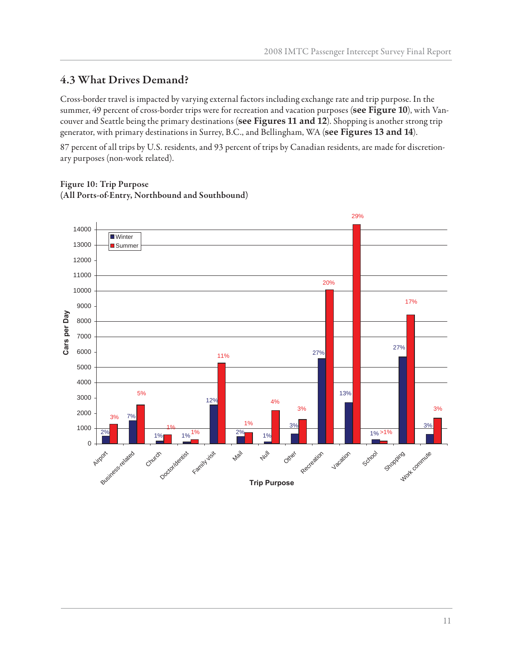## **4.3 What Drives Demand?**

Cross-border travel is impacted by varying external factors including exchange rate and trip purpose. In the summer, 49 percent of cross-border trips were for recreation and vacation purposes (**see Figure 10**), with Vancouver and Seattle being the primary destinations (**see Figures 11 and 12**). Shopping is another strong trip generator, with primary destinations in Surrey, B.C., and Bellingham, WA (**see Figures 13 and 14**).

87 percent of all trips by U.S. residents, and 93 percent of trips by Canadian residents, are made for discretionary purposes (non-work related).



### **Figure 10: Trip Purpose (All Ports-of-Entry, Northbound and Southbound)**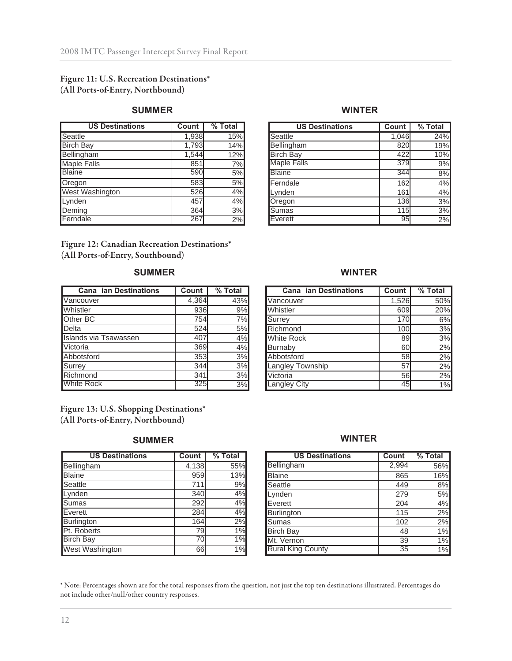#### **Figure 11: U.S. Recreation Destinations\* (All Ports-of-Entry, Northbound)**

#### **SUMMER WINTER**

| <b>US Destinations</b> | Count | % Total |
|------------------------|-------|---------|
| <b>Seattle</b>         | 1,938 | 15%     |
| <b>Birch Bay</b>       | 1,793 | 14%     |
| Bellingham             | 1,544 | 12%     |
| <b>Maple Falls</b>     | 851   | 7%      |
| <b>Blaine</b>          | 590   | 5%      |
| Oregon                 | 583   | 5%      |
| West Washington        | 526   | 4%      |
| Lynden                 | 457   | 4%      |
| Deming                 | 364   | 3%      |
| Ferndale               | 267   | 2%      |

**Figure 12: Canadian Recreation Destinations\* (All Ports-of-Entry, Southbound)**

#### **SUMMER WINTER**

| <b>Cana ian Destinations</b> | Count | % Total |
|------------------------------|-------|---------|
| Vancouver                    | 4,364 | 43%     |
| Whistler                     | 936   | 9%      |
| Other BC                     | 754   | 7%      |
| Delta                        | 524   | 5%      |
| <b>Islands via Tsawassen</b> | 407   | 4%      |
| Victoria                     | 369   | 4%      |
| Abbotsford                   | 353   | 3%      |
| Surrey                       | 344   | 3%      |
| Richmond                     | 341   | 3%      |
| <b>White Rock</b>            | 325   | 3%      |

**Figure 13: U.S. Shopping Destinations\* (All Ports-of-Entry, Northbound)**

| <b>US Destinations</b> | Count | % Total |
|------------------------|-------|---------|
| Bellingham             | 4,138 | 55%     |
| <b>Blaine</b>          | 959   | 13%     |
| Seattle                | 711   | 9%      |
| Lynden                 | 340   | 4%      |
| <b>Sumas</b>           | 292   | 4%      |
| Everett                | 284   | 4%      |
| Burlington             | 164   | 2%      |
| Pt. Roberts            | 79    | 1%      |
| <b>Birch Bay</b>       | 70    | $1\%$   |
| <b>West Washington</b> | 66    | $1\%$   |

| <b>US Destinations</b> | Count | % Total |
|------------------------|-------|---------|
| Seattle                | 1,046 | 24%     |
| Bellingham             | 820   | 19%     |
| <b>Birch Bay</b>       | 422   | 10%     |
| <b>Maple Falls</b>     | 379   | 9%      |
| <b>Blaine</b>          | 344   | 8%      |
| Ferndale               | 162   | 4%      |
| Lynden                 | 161   | 4%      |
| Oregon                 | 136   | 3%      |
| Sumas                  | 115   | 3%      |
| Everett                | 95    | 2%      |

| Cana ian Destinations | <b>Count</b> | % Total |
|-----------------------|--------------|---------|
| Vancouver             | 1,526        | 50%     |
| Whistler              | 609          | 20%     |
| Surrey                | 170          | 6%      |
| Richmond              | 100          | 3%      |
| <b>White Rock</b>     | 89           | 3%      |
| <b>Burnaby</b>        | 60           | 2%      |
| Abbotsford            | 58           | 2%      |
| Langley Township      | 57           | 2%      |
| Victoria              | 56           | 2%      |
| <b>Langley City</b>   | 45           | 1%      |

#### **SUMMER WINTER**

| <b>US Destinations</b>   | Count           | % Total |
|--------------------------|-----------------|---------|
| <b>Bellingham</b>        | 2,994           | 56%     |
| <b>Blaine</b>            | 865             | 16%     |
| Seattle                  | 449             | 8%      |
| Lynden                   | 279             | 5%      |
| Everett                  | 204             | 4%      |
| Burlington               | 115             | 2%      |
| Sumas                    | 102             | 2%      |
| <b>Birch Bay</b>         | 48              | 1%      |
| Mt. Vernon               | 39              | 1%      |
| <b>Rural King County</b> | $\overline{35}$ | $1\%$   |

\* Note: Percentages shown are for the total responses from the question, not just the top ten destinations illustrated. Percentages do not include other/null/other country responses.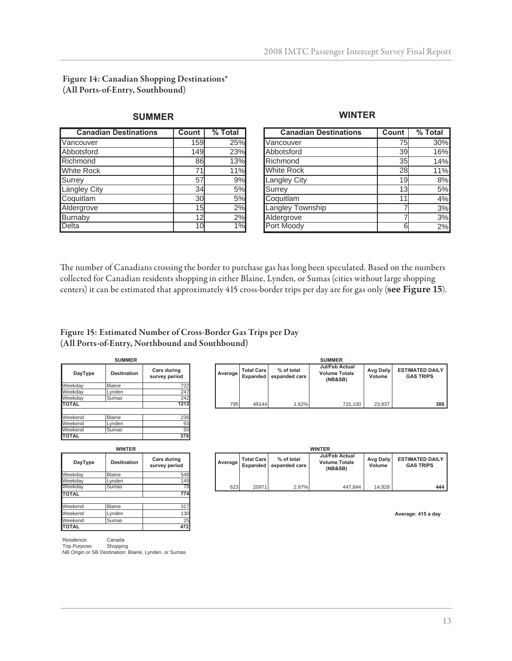**Figure 14: Canadian Shopping Destinations\* (All Ports-of-Entry, Southbound)**

| <b>Canadian Destinations</b> | Count | % Total |
|------------------------------|-------|---------|
| Vancouver                    | 159   | 25%     |
| Abbotsford                   | 149   | 23%     |
| Richmond                     | 86    | 13%     |
| <b>White Rock</b>            | 71    | 11%     |
| Surrey                       | 57    | 9%      |
| Langley City                 | 34    | 5%      |
| Coquitlam                    | 30    | 5%      |
| Aldergrove                   | 15    | 2%      |
| Burnaby                      | 12    | 2%      |
| Delta                        |       |         |

### **SUMMER WINTER**

| <b>Canadian Destinations</b> | Count | $%$ Total |
|------------------------------|-------|-----------|
| Vancouver                    | 75    | 30%       |
| Abbotsford                   | 39    | 16%       |
| Richmond                     | 35    | 14%       |
| <b>White Rock</b>            | 28    | 11%       |
| <b>Langley City</b>          | 19    | 8%        |
| Surrey                       | 13    | 5%        |
| Coquitlam                    |       | 4%        |
| Langley Township             |       | 3%        |
| Aldergrove                   |       | 3%        |
| Port Moody                   | 6     | 2%        |

The number of Canadians crossing the border to purchase gas has long been speculated. Based on the numbers collected for Canadian residents shopping in either Blaine, Lynden, or Sumas (cities without large shopping centers) it can be estimated that approximately 415 cross-border trips per day are for gas only (**see Figure 15**).

#### **Figure 15: Estimated Number of Cross-Border Gas Trips per Day (All Ports-of-Entry, Northbound and Southbound)**

| <b>SUMMER</b> |                    |                              |  |  |
|---------------|--------------------|------------------------------|--|--|
| DayType       | <b>Destination</b> | Cars during<br>survey period |  |  |
| Weekday       | Blaine             | 722                          |  |  |
| Weekday       | Lynden             | 247                          |  |  |
| Weekday       | Sumas              | 242                          |  |  |
| <b>TOTAL</b>  |                    | 1212                         |  |  |
| Weekend       | <b>Blaine</b>      | 236                          |  |  |
| Weekend       | Lynden             | 93                           |  |  |
| Weekend       | Sumas              | 50                           |  |  |
| <b>OTAL</b>   |                    |                              |  |  |

| <b>WINTER</b> |                    |                              |  |  |
|---------------|--------------------|------------------------------|--|--|
| DayType       | <b>Destination</b> | Cars during<br>survey period |  |  |
| Weekday       | <b>Blaine</b>      | 548                          |  |  |
| Weekday       | Lynden             | 149                          |  |  |
| Weekday       | Sumas              | 78                           |  |  |
| <b>TOTAL</b>  |                    | 774                          |  |  |
|               |                    |                              |  |  |
| Weekend       | Blaine             | 317                          |  |  |
| Weekend       | Lynden             | 130                          |  |  |
| Weekend       | Sumas              | 25                           |  |  |
| ΙΤΟΤΑL        |                    | 472                          |  |  |

|                                     | <b>SUMMER</b> |                               |                             |                                                          |                     |                                            |  |  |
|-------------------------------------|---------------|-------------------------------|-----------------------------|----------------------------------------------------------|---------------------|--------------------------------------------|--|--|
| <b>Cars during</b><br>survey period | Average       | <b>Total Cars</b><br>Expanded | % of total<br>expanded cars | <b>Jul/Feb Actual</b><br><b>Volume Totals</b><br>(NB&SB) | Avg Daily<br>Volume | <b>ESTIMATED DAILY</b><br><b>GAS TRIPS</b> |  |  |
| 722                                 |               |                               |                             |                                                          |                     |                                            |  |  |
| 247                                 |               |                               |                             |                                                          |                     |                                            |  |  |
| 242                                 |               |                               |                             |                                                          |                     |                                            |  |  |
| 1212                                | 795           | 49144                         | 1.62%                       | 715.100                                                  | 23,837              | 386                                        |  |  |
|                                     |               |                               |                             |                                                          |                     |                                            |  |  |

| <b>WINTER</b> |                    |                              |  | <b>WINTER</b> |                                      |                             |                                                          |                            |                                            |
|---------------|--------------------|------------------------------|--|---------------|--------------------------------------|-----------------------------|----------------------------------------------------------|----------------------------|--------------------------------------------|
| DayType       | <b>Destination</b> | Cars during<br>survey period |  | Average       | <b>Total Cars</b><br><b>Expanded</b> | % of total<br>expanded cars | <b>Jul/Feb Actual</b><br><b>Volume Totals</b><br>(NB&SB) | <b>Avg Daily</b><br>Volume | <b>ESTIMATED DAILY</b><br><b>GAS TRIPS</b> |
| Weekdav       | <b>Blaine</b>      | 548                          |  |               |                                      |                             |                                                          |                            |                                            |
| Weekdav       | ∟vnden             | 149                          |  |               |                                      |                             |                                                          |                            |                                            |
| Weekdav       | Sumas              | 78                           |  | 623           | 20971                                | 2.97%                       | 447.844                                                  | 14.928                     | 444                                        |

Average: 415 a day

Residence: Canada

Trip Purpose: Shopping NB Origin or SB Destination: Blaine, Lynden, or Sumas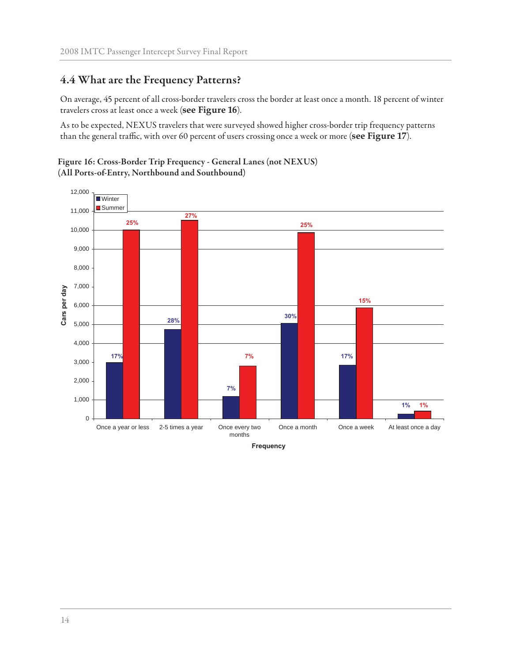## **4.4 What are the Frequency Patterns?**

On average, 45 percent of all cross-border travelers cross the border at least once a month. 18 percent of winter travelers cross at least once a week (**see Figure 16**).

As to be expected, NEXUS travelers that were surveyed showed higher cross-border trip frequency patterns than the general traffic, with over 60 percent of users crossing once a week or more (see Figure 17).

#### **Figure 16: Cross-Border Trip Frequency - General Lanes (not NEXUS) (All Ports-of-Entry, Northbound and Southbound)**



**Frequency**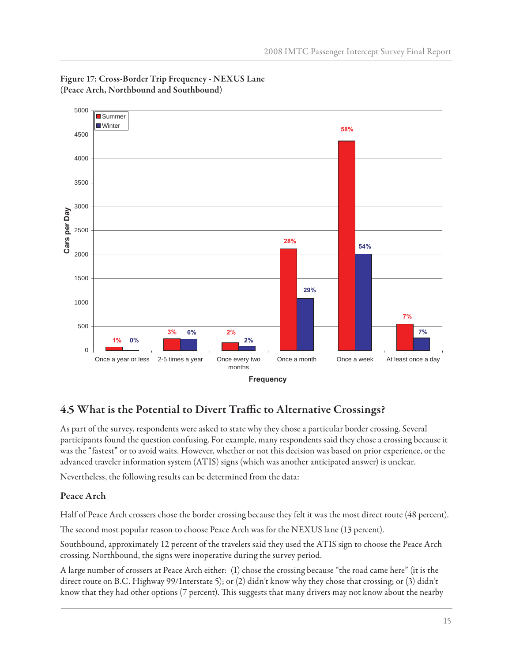

#### **Figure 17: Cross-Border Trip Frequency - NEXUS Lane (Peace Arch, Northbound and Southbound)**

## 4.5 What is the Potential to Divert Traffic to Alternative Crossings?

As part of the survey, respondents were asked to state why they chose a particular border crossing. Several participants found the question confusing. For example, many respondents said they chose a crossing because it was the "fastest" or to avoid waits. However, whether or not this decision was based on prior experience, or the advanced traveler information system (ATIS) signs (which was another anticipated answer) is unclear.

Nevertheless, the following results can be determined from the data:

### **Peace Arch**

Half of Peace Arch crossers chose the border crossing because they felt it was the most direct route (48 percent).

The second most popular reason to choose Peace Arch was for the NEXUS lane (13 percent).

Southbound, approximately 12 percent of the travelers said they used the ATIS sign to choose the Peace Arch crossing. Northbound, the signs were inoperative during the survey period.

A large number of crossers at Peace Arch either: (1) chose the crossing because "the road came here" (it is the direct route on B.C. Highway 99/Interstate 5); or (2) didn't know why they chose that crossing; or (3) didn't know that they had other options (7 percent). This suggests that many drivers may not know about the nearby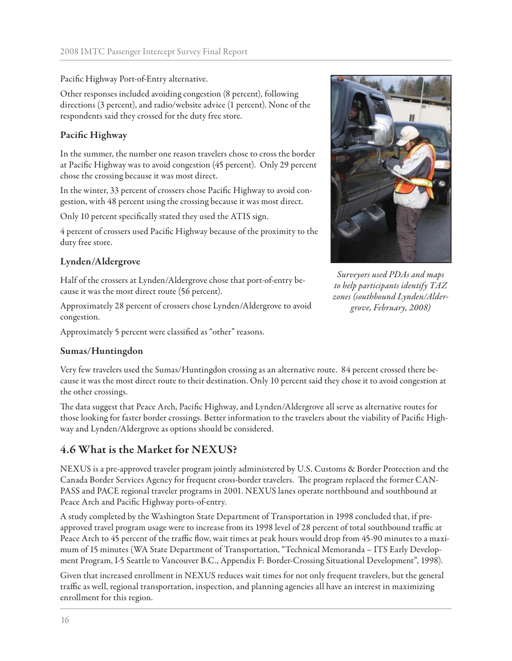Pacific Highway Port-of-Entry alternative.

Other responses included avoiding congestion (8 percent), following directions (3 percent), and radio/website advice (1 percent). None of the respondents said they crossed for the duty free store.

#### **Pacific Highway**

In the summer, the number one reason travelers chose to cross the border at Pacific Highway was to avoid congestion (45 percent). Only 29 percent chose the crossing because it was most direct.

In the winter, 33 percent of crossers chose Pacific Highway to avoid congestion, with 48 percent using the crossing because it was most direct.

Only 10 percent specifically stated they used the ATIS sign.

4 percent of crossers used Pacific Highway because of the proximity to the duty free store.

#### **Lynden/Aldergrove**

Half of the crossers at Lynden/Aldergrove chose that port-of-entry because it was the most direct route (56 percent).

Approximately 28 percent of crossers chose Lynden/Aldergrove to avoid congestion.

Approximately 5 percent were classified as "other" reasons.

#### **Sumas/Huntingdon**



*Surveyors used PDAs and maps to help participants identify TAZ zones (southbound Lynden/Aldergrove, February, 2008)*

Very few travelers used the Sumas/Huntingdon crossing as an alternative route. 84 percent crossed there because it was the most direct route to their destination. Only 10 percent said they chose it to avoid congestion at the other crossings.

The data suggest that Peace Arch, Pacific Highway, and Lynden/Aldergrove all serve as alternative routes for those looking for faster border crossings. Better information to the travelers about the viability of Pacific Highway and Lynden/Aldergrove as options should be considered.

## **4.6 What is the Market for NEXUS?**

NEXUS is a pre-approved traveler program jointly administered by U.S. Customs & Border Protection and the Canada Border Services Agency for frequent cross-border travelers. The program replaced the former CAN-PASS and PACE regional traveler programs in 2001. NEXUS lanes operate northbound and southbound at Peace Arch and Pacific Highway ports-of-entry.

A study completed by the Washington State Department of Transportation in 1998 concluded that, if preapproved travel program usage were to increase from its 1998 level of 28 percent of total southbound traffic at Peace Arch to 45 percent of the traffic flow, wait times at peak hours would drop from 45-90 minutes to a maximum of 15 minutes (WA State Department of Transportation, "Technical Memoranda – ITS Early Development Program, I-5 Seattle to Vancouver B.C., Appendix F: Border-Crossing Situational Development", 1998).

Given that increased enrollment in NEXUS reduces wait times for not only frequent travelers, but the general traffic as well, regional transportation, inspection, and planning agencies all have an interest in maximizing enrollment for this region.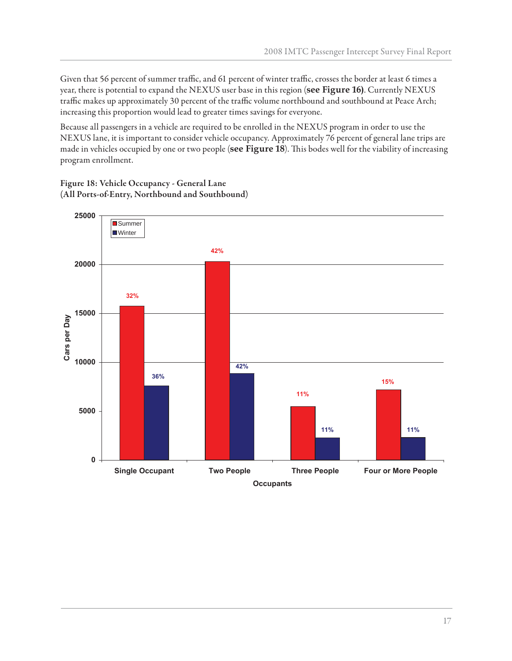Given that 56 percent of summer traffic, and 61 percent of winter traffic, crosses the border at least 6 times a year, there is potential to expand the NEXUS user base in this region (**see Figure 16)**. Currently NEXUS traffic makes up approximately 30 percent of the traffic volume northbound and southbound at Peace Arch; increasing this proportion would lead to greater times savings for everyone.

Because all passengers in a vehicle are required to be enrolled in the NEXUS program in order to use the NEXUS lane, it is important to consider vehicle occupancy. Approximately 76 percent of general lane trips are made in vehicles occupied by one or two people (see Figure 18). This bodes well for the viability of increasing program enrollment.

**Figure 18: Vehicle Occupancy - General Lane (All Ports-of-Entry, Northbound and Southbound)**

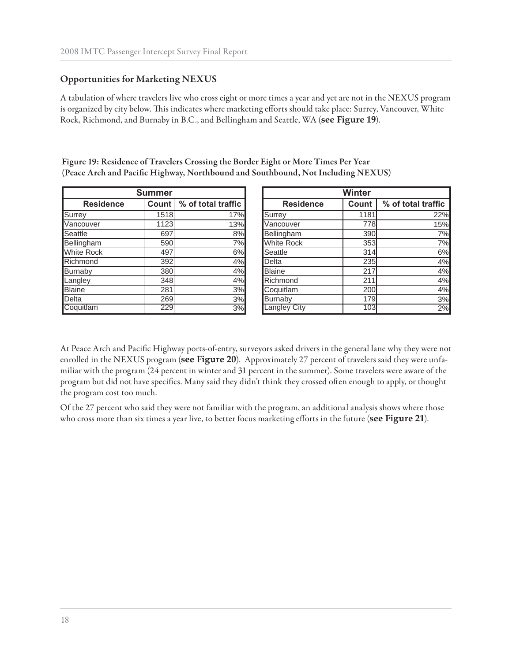### **Opportunities for Marketing NEXUS**

A tabulation of where travelers live who cross eight or more times a year and yet are not in the NEXUS program is organized by city below. This indicates where marketing efforts should take place: Surrey, Vancouver, White Rock, Richmond, and Burnaby in B.C., and Bellingham and Seattle, WA (**see Figure 19**).

**Figure 19: Residence of Travelers Crossing the Border Eight or More Times Per Year** (Peace Arch and Pacific Highway, Northbound and Southbound, Not Including NEXUS)

|                   | <b>Summer</b> |                            | <b>Winter</b>       |       |
|-------------------|---------------|----------------------------|---------------------|-------|
| <b>Residence</b>  |               | Count   % of total traffic | <b>Residence</b>    | Count |
| Surrey            | 1518          | 17%                        | Surrey              | 118   |
| Vancouver         | 1123          | 13%                        | Vancouver           | 77    |
| Seattle           | 697           | 8%                         | Bellingham          | 39    |
| Bellingham        | 590           | 7%l                        | <b>White Rock</b>   | 35    |
| <b>White Rock</b> | 497           | 6%                         | Seattle             | 31    |
| Richmond          | 392           | 4%                         | Delta               | 23    |
| Burnaby           | 380           | 4%                         | <b>Blaine</b>       | 21    |
| Langley           | 348           | 4%                         | Richmond            | 21    |
| <b>Blaine</b>     | 281           | 3%                         | Coquitlam           | 20    |
| Delta             | 269           | 3%                         | <b>Burnaby</b>      | 17    |
| Coquitlam         | 229           | 3%                         | <b>Langley City</b> | 10    |

|                   | <b>Summer</b> |                           | <b>Winter</b>     |       |                    |  |
|-------------------|---------------|---------------------------|-------------------|-------|--------------------|--|
| <b>Residence</b>  |               | Count \% of total traffic | <b>Residence</b>  | Count | % of total traffic |  |
| Surrey            | 1518          | 17%                       | Surrey            | 1181  | 22%                |  |
| Vancouver         | 1123          | 13%                       | Vancouver         | 778l  | 15%                |  |
| <b>Seattle</b>    | 697           | 8%                        | Bellingham        | 390   | 7%                 |  |
| <b>Bellingham</b> | 590           | 7%                        | <b>White Rock</b> | 353   | 7%                 |  |
| <b>White Rock</b> | 497           | 6%                        | Seattle           | 314   | 6%                 |  |
| Richmond          | 392           | 4%                        | Delta             | 235   | 4%                 |  |
| <b>Burnaby</b>    | 380           | 4%                        | <b>Blaine</b>     | 217   | 4%                 |  |
| Langley           | 348           | 4%                        | Richmond          | 211   | 4%                 |  |
| <b>Blaine</b>     | 281           | 3%                        | Coquitlam         | 200   | 4%                 |  |
| Delta             | 269           | 3%                        | Burnaby           | 179   | 3%                 |  |
| Coquitlam         | 229           | 3%                        | Langley City      | 103   | 2%                 |  |

At Peace Arch and Pacific Highway ports-of-entry, surveyors asked drivers in the general lane why they were not enrolled in the NEXUS program (**see Figure 20**). Approximately 27 percent of travelers said they were unfamiliar with the program (24 percent in winter and 31 percent in the summer). Some travelers were aware of the program but did not have specifics. Many said they didn't think they crossed often enough to apply, or thought the program cost too much.

Of the 27 percent who said they were not familiar with the program, an additional analysis shows where those who cross more than six times a year live, to better focus marketing efforts in the future (see Figure 21).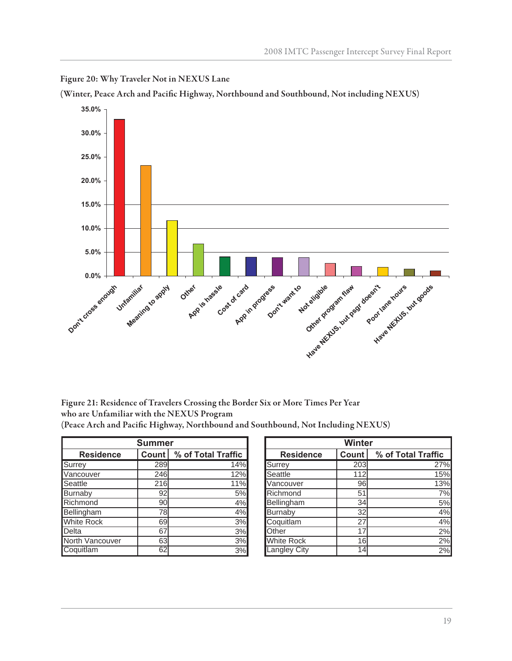

**Figure 20: Why Traveler Not in NEXUS Lane**

(Winter, Peace Arch and Pacific Highway, Northbound and Southbound, Not including NEXUS)

**Figure 21: Residence of Travelers Crossing the Border Six or More Times Per Year who are Unfamiliar with the NEXUS Program (Peace Arch and Pacifi c Highway, Northbound and Southbound, Not Including NEXUS)**

|                   | <b>Summer</b> |                             |  | Winter            |       |
|-------------------|---------------|-----------------------------|--|-------------------|-------|
| <b>Residence</b>  |               | % of Total Traffic<br>Count |  | <b>Residence</b>  | Count |
| Surrey            | 289           | 14%                         |  | Surrey            | 203   |
| Vancouver         | 246           | 12%                         |  | Seattle           | 112   |
| Seattle           | 216           | 11%                         |  | Vancouver         | 96    |
| Burnaby           | 92            | 5%                          |  | Richmond          | 51    |
| Richmond          | 90            | 4%                          |  | Bellingham        | 34    |
| Bellingham        | 78            | 4%                          |  | <b>Burnaby</b>    | 32    |
| <b>White Rock</b> | 69            | 3%                          |  | Coquitlam         | 27    |
| Delta             | 67            | 3%                          |  | Other             | 17    |
| North Vancouver   | 63            | 3%                          |  | <b>White Rock</b> | 16    |
| Coquitlam         | 62            | 3%                          |  | Langley City      | 14    |

|                   | <b>Summer</b> |                            | <b>Winter</b>       |       |                    |  |  |
|-------------------|---------------|----------------------------|---------------------|-------|--------------------|--|--|
| <b>Residence</b>  |               | Count   % of Total Traffic | <b>Residence</b>    | Count | % of Total Traffic |  |  |
| Surrey            | 289           | 14%                        | Surrey              | 203   | 27%                |  |  |
| Vancouver         | 246           | 12%                        | Seattle             | 112   | 15%                |  |  |
| Seattle           | 216           | 11%                        | Vancouver           | 96    | 13%                |  |  |
| <b>Burnaby</b>    | 92            | 5%                         | Richmond            | 51    | 7%                 |  |  |
| Richmond          | 90            | 4%                         | Bellingham          | 34    | 5%                 |  |  |
| <b>Bellingham</b> | 78            | 4%                         | Burnaby             | 32    | 4%                 |  |  |
| <b>White Rock</b> | 69            | 3%                         | Coquitlam           | 27    | 4%                 |  |  |
| Delta             | 67            | 3%                         | Other               | 17    | 2%                 |  |  |
| North Vancouver   | 63            | 3%                         | <b>White Rock</b>   | 16    | 2%                 |  |  |
| Coquitlam         | 62            | 3%                         | <b>Langley City</b> | 14    | 2%                 |  |  |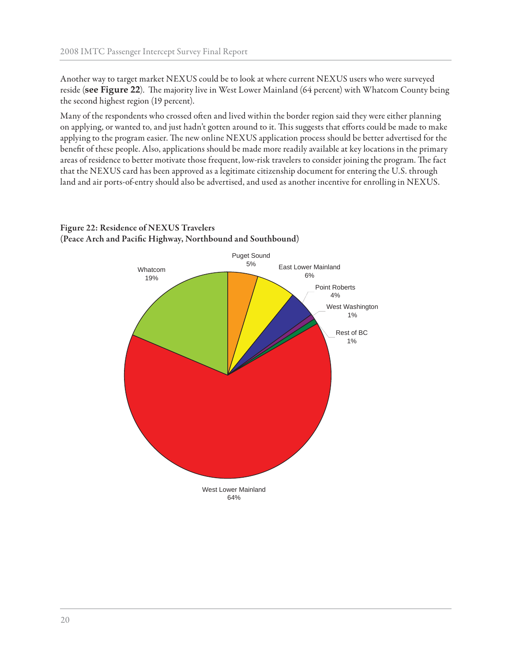Another way to target market NEXUS could be to look at where current NEXUS users who were surveyed reside (see Figure 22). The majority live in West Lower Mainland (64 percent) with Whatcom County being the second highest region (19 percent).

Many of the respondents who crossed often and lived within the border region said they were either planning on applying, or wanted to, and just hadn't gotten around to it. This suggests that efforts could be made to make applying to the program easier. The new online NEXUS application process should be better advertised for the benefit of these people. Also, applications should be made more readily available at key locations in the primary areas of residence to better motivate those frequent, low-risk travelers to consider joining the program. The fact that the NEXUS card has been approved as a legitimate citizenship document for entering the U.S. through land and air ports-of-entry should also be advertised, and used as another incentive for enrolling in NEXUS.

![](_page_23_Figure_3.jpeg)

### **Figure 22: Residence of NEXUS Travelers** (Peace Arch and Pacific Highway, Northbound and Southbound)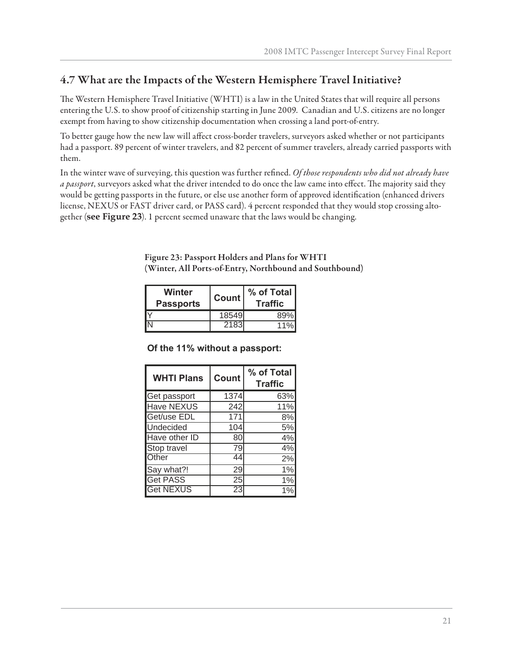## **4.7 What are the Impacts of the Western Hemisphere Travel Initiative?**

The Western Hemisphere Travel Initiative (WHTI) is a law in the United States that will require all persons entering the U.S. to show proof of citizenship starting in June 2009. Canadian and U.S. citizens are no longer exempt from having to show citizenship documentation when crossing a land port-of-entry.

To better gauge how the new law will affect cross-border travelers, surveyors asked whether or not participants had a passport. 89 percent of winter travelers, and 82 percent of summer travelers, already carried passports with them.

In the winter wave of surveying, this question was further refined. *Of those respondents who did not already have a passport*, surveyors asked what the driver intended to do once the law came into effect. The majority said they would be getting passports in the future, or else use another form of approved identification (enhanced drivers license, NEXUS or FAST driver card, or PASS card). 4 percent responded that they would stop crossing altogether (**see Figure 23**). 1 percent seemed unaware that the laws would be changing.

**Figure 23: Passport Holders and Plans for WHTI (Winter, All Ports-of-Entry, Northbound and Southbound)**

| Winter<br><b>Passports</b> | <b>Count</b> | % of Total<br><b>Traffic</b> |  |
|----------------------------|--------------|------------------------------|--|
|                            | 18549        | 89%                          |  |
|                            | 2183         | 11%                          |  |

**Of the 11% without a passport:**

| <b>WHTI Plans</b> | <b>Count</b> | % of Total<br><b>Traffic</b> |
|-------------------|--------------|------------------------------|
| Get passport      | 1374         | 63%                          |
| <b>Have NEXUS</b> | 242          | 11%                          |
| Get/use EDL       | 171          | 8%                           |
| Undecided         | 104          | 5%                           |
| Have other ID     | 80           | 4%                           |
| Stop travel       | 79           | 4%                           |
| Other             | 44           | 2%                           |
| Say what?!        | 29           | 1%                           |
| <b>Get PASS</b>   | 25           | 1%                           |
| <b>Get NEXUS</b>  | 23           | 1%                           |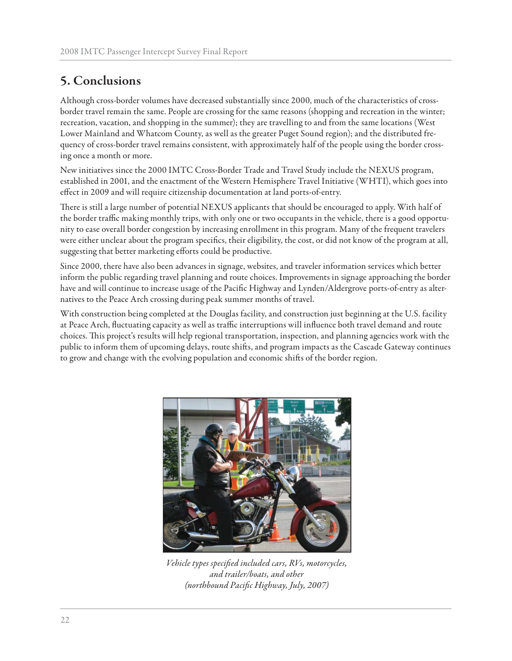# **5. Conclusions**

Although cross-border volumes have decreased substantially since 2000, much of the characteristics of crossborder travel remain the same. People are crossing for the same reasons (shopping and recreation in the winter; recreation, vacation, and shopping in the summer); they are travelling to and from the same locations (West Lower Mainland and Whatcom County, as well as the greater Puget Sound region); and the distributed frequency of cross-border travel remains consistent, with approximately half of the people using the border crossing once a month or more.

New initiatives since the 2000 IMTC Cross-Border Trade and Travel Study include the NEXUS program, established in 2001, and the enactment of the Western Hemisphere Travel Initiative (WHTI), which goes into effect in 2009 and will require citizenship documentation at land ports-of-entry.

There is still a large number of potential NEXUS applicants that should be encouraged to apply. With half of the border traffic making monthly trips, with only one or two occupants in the vehicle, there is a good opportunity to ease overall border congestion by increasing enrollment in this program. Many of the frequent travelers were either unclear about the program specifics, their eligibility, the cost, or did not know of the program at all, suggesting that better marketing efforts could be productive.

Since 2000, there have also been advances in signage, websites, and traveler information services which better inform the public regarding travel planning and route choices. Improvements in signage approaching the border have and will continue to increase usage of the Pacific Highway and Lynden/Aldergrove ports-of-entry as alternatives to the Peace Arch crossing during peak summer months of travel.

With construction being completed at the Douglas facility, and construction just beginning at the U.S. facility at Peace Arch, fluctuating capacity as well as traffic interruptions will influence both travel demand and route choices. This project's results will help regional transportation, inspection, and planning agencies work with the public to inform them of upcoming delays, route shifts, and program impacts as the Cascade Gateway continues to grow and change with the evolving population and economic shifts of the border region.

![](_page_25_Picture_7.jpeg)

Vehicle types specified included cars, RVs, motorcycles, *and trailer/boats, and other (northbound Pacifi c Highway, July, 2007)*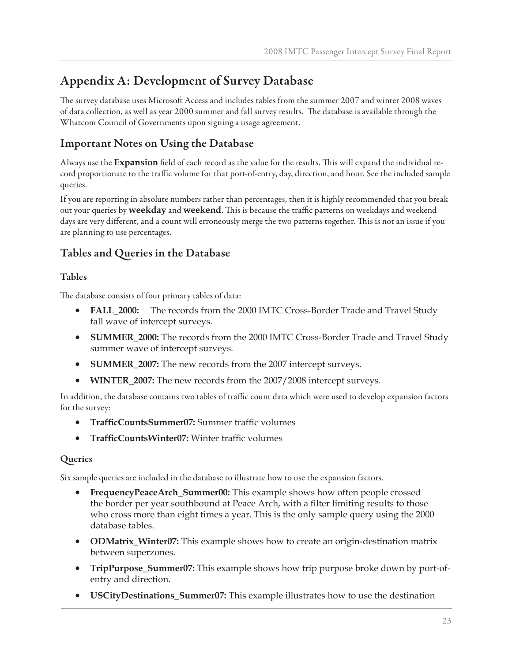# **Appendix A: Development of Survey Database**

The survey database uses Microsoft Access and includes tables from the summer 2007 and winter 2008 waves of data collection, as well as year 2000 summer and fall survey results. The database is available through the Whatcom Council of Governments upon signing a usage agreement.

## **Important Notes on Using the Database**

Always use the **Expansion** field of each record as the value for the results. This will expand the individual record proportionate to the traffic volume for that port-of-entry, day, direction, and hour. See the included sample queries.

If you are reporting in absolute numbers rather than percentages, then it is highly recommended that you break out your queries by **weekday** and **weekend**. This is because the traffic patterns on weekdays and weekend days are very different, and a count will erroneously merge the two patterns together. This is not an issue if you are planning to use percentages.

## **Tables and Queries in the Database**

### **Tables**

The database consists of four primary tables of data:

- **FALL\_2000:** The records from the 2000 IMTC Cross-Border Trade and Travel Study fall wave of intercept surveys.
- **SUMMER\_2000:** The records from the 2000 IMTC Cross-Border Trade and Travel Study summer wave of intercept surveys.
- **SUMMER\_2007:** The new records from the 2007 intercept surveys.
- **WINTER\_2007:** The new records from the 2007/2008 intercept surveys.

In addition, the database contains two tables of traffic count data which were used to develop expansion factors for the survey:

- **TrafficCountsSummer07:** Summer traffic volumes
- **TrafficCountsWinter07:** Winter traffic volumes

## **Queries**

Six sample queries are included in the database to illustrate how to use the expansion factors.

- **FrequencyPeaceArch\_Summer00:** This example shows how often people crossed the border per year southbound at Peace Arch, with a filter limiting results to those who cross more than eight times a year. This is the only sample query using the 2000 database tables.
- **ODMatrix\_Winter07:** This example shows how to create an origin-destination matrix between superzones.
- **TripPurpose\_Summer07:** This example shows how trip purpose broke down by port-ofentry and direction.
- **USCityDestinations\_Summer07:** This example illustrates how to use the destination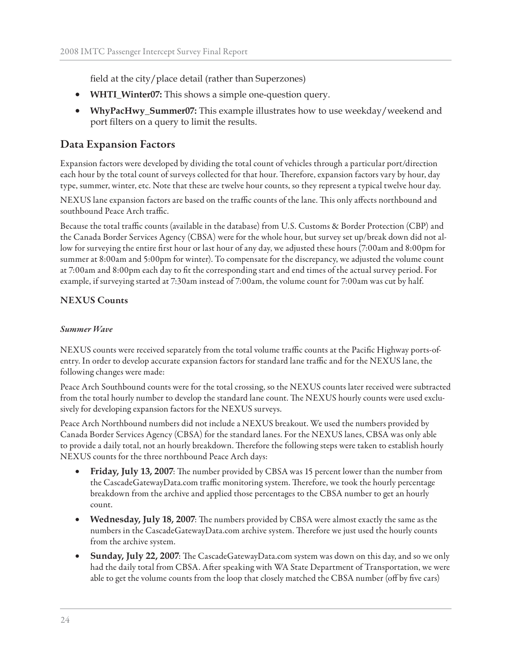field at the city/place detail (rather than Superzones)

- **WHTI\_Winter07:** This shows a simple one-question query.
- **WhyPacHwy\_Summer07:** This example illustrates how to use weekday/weekend and port filters on a query to limit the results.

## **Data Expansion Factors**

Expansion factors were developed by dividing the total count of vehicles through a particular port/direction each hour by the total count of surveys collected for that hour. Therefore, expansion factors vary by hour, day type, summer, winter, etc. Note that these are twelve hour counts, so they represent a typical twelve hour day.

NEXUS lane expansion factors are based on the traffic counts of the lane. This only affects northbound and southbound Peace Arch traffic.

Because the total traffic counts (available in the database) from U.S. Customs & Border Protection (CBP) and the Canada Border Services Agency (CBSA) were for the whole hour, but survey set up/break down did not allow for surveying the entire first hour or last hour of any day, we adjusted these hours (7:00am and 8:00pm for summer at 8:00am and 5:00pm for winter). To compensate for the discrepancy, we adjusted the volume count at 7:00am and 8:00pm each day to fi t the corresponding start and end times of the actual survey period. For example, if surveying started at 7:30am instead of 7:00am, the volume count for 7:00am was cut by half.

### **NEXUS Counts**

#### *Summer Wave*

NEXUS counts were received separately from the total volume traffic counts at the Pacific Highway ports-ofentry. In order to develop accurate expansion factors for standard lane traffic and for the NEXUS lane, the following changes were made:

Peace Arch Southbound counts were for the total crossing, so the NEXUS counts later received were subtracted from the total hourly number to develop the standard lane count. The NEXUS hourly counts were used exclusively for developing expansion factors for the NEXUS surveys.

Peace Arch Northbound numbers did not include a NEXUS breakout. We used the numbers provided by Canada Border Services Agency (CBSA) for the standard lanes. For the NEXUS lanes, CBSA was only able to provide a daily total, not an hourly breakdown. Therefore the following steps were taken to establish hourly NEXUS counts for the three northbound Peace Arch days:

- **Friday, July 13, 2007**: The number provided by CBSA was 15 percent lower than the number from the CascadeGatewayData.com traffic monitoring system. Therefore, we took the hourly percentage breakdown from the archive and applied those percentages to the CBSA number to get an hourly count.
- **Wednesday, July 18, 2007**: The numbers provided by CBSA were almost exactly the same as the numbers in the CascadeGatewayData.com archive system. Therefore we just used the hourly counts from the archive system.
- **Sunday, July 22, 2007:** The CascadeGatewayData.com system was down on this day, and so we only had the daily total from CBSA. After speaking with WA State Department of Transportation, we were able to get the volume counts from the loop that closely matched the CBSA number (off by five cars)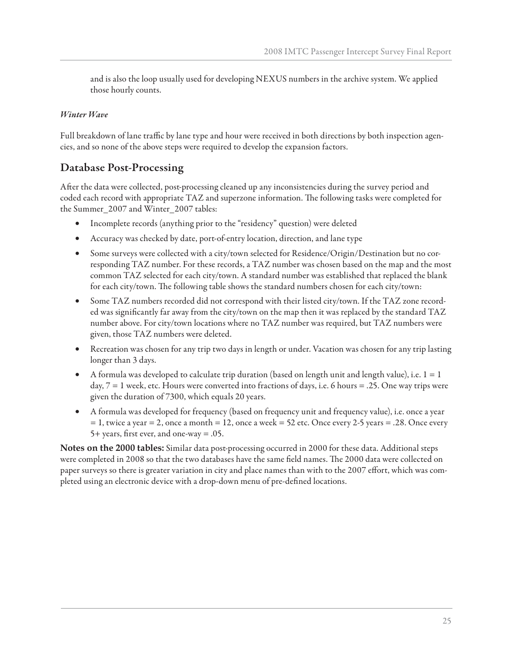and is also the loop usually used for developing NEXUS numbers in the archive system. We applied those hourly counts.

#### *Winter Wave*

Full breakdown of lane traffic by lane type and hour were received in both directions by both inspection agencies, and so none of the above steps were required to develop the expansion factors.

## **Database Post-Processing**

After the data were collected, post-processing cleaned up any inconsistencies during the survey period and coded each record with appropriate TAZ and superzone information. The following tasks were completed for the Summer\_2007 and Winter\_2007 tables:

- Incomplete records (anything prior to the "residency" question) were deleted
- Accuracy was checked by date, port-of-entry location, direction, and lane type
- Some surveys were collected with a city/town selected for Residence/Origin/Destination but no corresponding TAZ number. For these records, a TAZ number was chosen based on the map and the most common TAZ selected for each city/town. A standard number was established that replaced the blank for each city/town. The following table shows the standard numbers chosen for each city/town:
- Some TAZ numbers recorded did not correspond with their listed city/town. If the TAZ zone recorded was significantly far away from the city/town on the map then it was replaced by the standard TAZ number above. For city/town locations where no TAZ number was required, but TAZ numbers were given, those TAZ numbers were deleted.
- Recreation was chosen for any trip two days in length or under. Vacation was chosen for any trip lasting longer than 3 days.
- A formula was developed to calculate trip duration (based on length unit and length value), i.e.  $1 = 1$ day, 7 = 1 week, etc. Hours were converted into fractions of days, i.e. 6 hours = .25. One way trips were given the duration of 7300, which equals 20 years.
- A formula was developed for frequency (based on frequency unit and frequency value), i.e. once a year  $= 1$ , twice a year  $= 2$ , once a month  $= 12$ , once a week  $= 52$  etc. Once every 2-5 years  $= .28$ . Once every 5+ years, first ever, and one-way  $= .05$ .

**Notes on the 2000 tables:** Similar data post-processing occurred in 2000 for these data. Additional steps were completed in 2008 so that the two databases have the same field names. The 2000 data were collected on paper surveys so there is greater variation in city and place names than with to the 2007 effort, which was completed using an electronic device with a drop-down menu of pre-defined locations.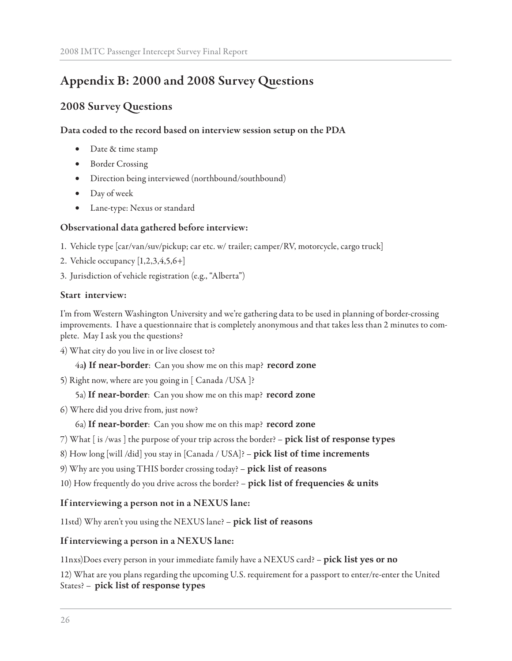# **Appendix B: 2000 and 2008 Survey Questions**

## **2008 Survey Questions**

#### **Data coded to the record based on interview session setup on the PDA**

- Date & time stamp
- Border Crossing
- Direction being interviewed (northbound/southbound)
- Day of week
- Lane-type: Nexus or standard

#### **Observational data gathered before interview:**

- 1. Vehicle type [car/van/suv/pickup; car etc. w/ trailer; camper/RV, motorcycle, cargo truck]
- 2. Vehicle occupancy [1,2,3,4,5,6+]
- 3. Jurisdiction of vehicle registration (e.g., "Alberta")

#### **Start interview:**

I'm from Western Washington University and we're gathering data to be used in planning of border-crossing improvements. I have a questionnaire that is completely anonymous and that takes less than 2 minutes to complete. May I ask you the questions?

4) What city do you live in or live closest to?

4a**) If near-border**: Can you show me on this map? **record zone**

5) Right now, where are you going in [ Canada /USA ]?

#### 5a) **If near-border**: Can you show me on this map? **record zone**

6) Where did you drive from, just now?

6a) **If near-border**: Can you show me on this map? **record zone**

- 7) What [ is /was ] the purpose of your trip across the border? **pick list of response types**
- 8) How long [will /did] you stay in [Canada / USA]? **pick list of time increments**
- 9) Why are you using THIS border crossing today? **pick list of reasons**
- 10) How frequently do you drive across the border? **pick list of frequencies & units**

#### **If interviewing a person not in a NEXUS lane:**

11std) Why aren't you using the NEXUS lane? – **pick list of reasons**

#### **If interviewing a person in a NEXUS lane:**

11nxs)Does every person in your immediate family have a NEXUS card? – **pick list yes or no**

12) What are you plans regarding the upcoming U.S. requirement for a passport to enter/re-enter the United States? – **pick list of response types**